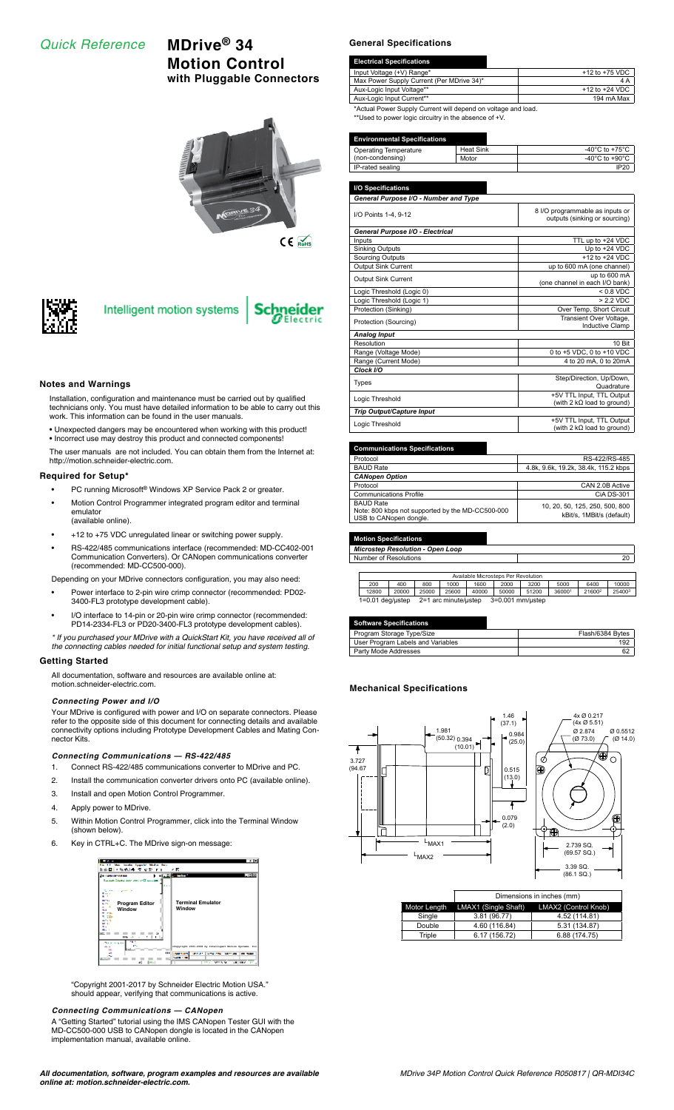# *Quick Reference* **MDrive® 34**

# **Motion Control with Pluggable Connectors**





# Intelligent motion systems



### **Notes and Warnings**

Installation, configuration and maintenance must be carried out by qualified technicians only. You must have detailed information to be able to carry out this work. This information can be found in the user manuals.

• Unexpected dangers may be encountered when working with this product! • Incorrect use may destroy this product and connected components!

The user manuals are not included. You can obtain them from the Internet at: http://motion.schneider-electric.com.

### **Required for Setup\***

- PC running Microsoft® Windows XP Service Pack 2 or greater.
- Motion Control Programmer integrated program editor and terminal emulator (available online).
- +12 to +75 VDC unregulated linear or switching power supply.
- RS-422/485 communications interface (recommended: MD-CC402-001 Communication Converters). Or CANopen communications converter (recommended: MD-CC500-000).

Depending on your MDrive connectors configuration, you may also need:

- Power interface to 2-pin wire crimp connector (recommended: PD02- 3400-FL3 prototype development cable).
- I/O interface to 14-pin or 20-pin wire crimp connector (recommended: PD14-2334-FL3 or PD20-3400-FL3 prototype development cables).

*\* If you purchased your MDrive with a QuickStart Kit, you have received all of the connecting cables needed for initial functional setup and system testing.*

### **Getting Started**

All documentation, software and resources are available online at: motion.schneider-electric.com.

### *Connecting Power and I/O*

Your MDrive is configured with power and I/O on separate connectors. Please refer to the opposite side of this document for connecting details and available connectivity options including Prototype Development Cables and Mating Connector Kits.

#### *Connecting Communications — RS-422/485*

- 1. Connect RS-422/485 communications converter to MDrive and PC.
- 2. Install the communication converter drivers onto PC (available online).
- 3. Install and open Motion Control Programmer.
- 4. Apply power to MDrive.
- 5. Within Motion Control Programmer, click into the Terminal Window (shown below).
- 6. Key in CTRL+C. The MDrive sign-on message:



"Copyright 2001-2017 by Schneider Electric Motion USA." should appear, verifying that communications is active.

## *Connecting Communications — CANopen*

A "Getting Started" tutorial using the IMS CANopen Tester GUI with the MD-CC500-000 USB to CANopen dongle is located in the CANopen implementation manual, available online.

# **General Specifications**

| <b>Electrical Specifications</b>                              |                    |
|---------------------------------------------------------------|--------------------|
| Input Voltage (+V) Range*                                     | $+12$ to $+75$ VDC |
| Max Power Supply Current (Per MDrive 34)*                     | 4 A                |
| Aux-Logic Input Voltage**                                     | $+12$ to $+24$ VDC |
| Aux-Logic Input Current**                                     | 194 mA Max         |
| *Actual Power Supply Current will depend on voltage and load. |                    |

\*Actual Power Supply Current will depend on voltage and load. \*\*Used to power logic circuitry in the absence of +V.

#### **Environmental Specifications**

| Operating Temperature | Heat Sink | -40 $^{\circ}$ C to +75 $^{\circ}$ C |
|-----------------------|-----------|--------------------------------------|
| (non-condensing)      | Motor     | -40 $^{\circ}$ C to +90 $^{\circ}$ C |
| IP-rated sealing      |           | <b>IP20</b>                          |

| I/O Specifications                                                         |                                                                  |
|----------------------------------------------------------------------------|------------------------------------------------------------------|
| General Purpose I/O - Number and Type                                      |                                                                  |
| I/O Points 1-4, 9-12                                                       | 8 I/O programmable as inputs or<br>outputs (sinking or sourcing) |
| General Purpose I/O - Electrical                                           |                                                                  |
| Inputs                                                                     | TTL up to +24 VDC                                                |
| <b>Sinking Outputs</b>                                                     | Up to +24 VDC                                                    |
| <b>Sourcing Outputs</b>                                                    | $+12$ to $+24$ VDC                                               |
| <b>Output Sink Current</b>                                                 | up to 600 mA (one channel)                                       |
| <b>Output Sink Current</b>                                                 | up to 600 mA<br>(one channel in each I/O bank)                   |
| Logic Threshold (Logic 0)                                                  | $< 0.8$ VDC                                                      |
| Logic Threshold (Logic 1)                                                  | $> 2.2$ VDC                                                      |
| Protection (Sinking)                                                       | Over Temp, Short Circuit                                         |
| Transient Over Voltage,<br>Protection (Sourcing)<br><b>Inductive Clamp</b> |                                                                  |
| <b>Analog Input</b>                                                        |                                                                  |
| Resolution                                                                 | 10 Bit                                                           |
| Range (Voltage Mode)                                                       | 0 to +5 VDC, 0 to +10 VDC                                        |
| Range (Current Mode)                                                       | 4 to 20 mA, 0 to 20mA                                            |
| Clock I/O                                                                  |                                                                  |
| <b>Types</b>                                                               | Step/Direction, Up/Down,<br>Quadrature                           |
| Logic Threshold                                                            | +5V TTL Input, TTL Output<br>(with 2 $k\Omega$ load to ground)   |
| <b>Trip Output/Capture Input</b>                                           |                                                                  |
| Logic Threshold                                                            | +5V TTL Input, TTL Output<br>(with 2 $k\Omega$ load to ground)   |

#### **Communications Specifications**

| Protocol                                                                                       | RS-422/RS-485                                               |
|------------------------------------------------------------------------------------------------|-------------------------------------------------------------|
| <b>BAUD Rate</b>                                                                               | 4.8k, 9.6k, 19.2k, 38.4k, 115.2 kbps                        |
| <b>CANopen Option</b>                                                                          |                                                             |
| Protocol                                                                                       | CAN 2.0B Active                                             |
| <b>Communications Profile</b>                                                                  | CiA DS-301                                                  |
| <b>BAUD Rate</b><br>Note: 800 kbps not supported by the MD-CC500-000<br>USB to CANopen dongle. | 10, 20, 50, 125, 250, 500, 800<br>kBit/s, 1MBit/s (default) |

**Motion Specifications**

*Microstep Resolution - Open Loop* Number of Resolutions 20

| Available Microsteps Per Revolution                            |       |       |       |       |       |       |        |                    |        |
|----------------------------------------------------------------|-------|-------|-------|-------|-------|-------|--------|--------------------|--------|
| 200                                                            | 400   | 800   | 1000  | 1600  | 2000  | 3200  | 5000   | 6400               | 10000  |
| 12800                                                          | 20000 | 25000 | 25600 | 40000 | 50000 | 51200 | 360001 | 21600 <sup>2</sup> | 254003 |
| 3=0.001 mm/ustep<br>$1=0.01$ deg/ustep<br>2=1 arc minute/ustep |       |       |       |       |       |       |        |                    |        |

| <b>Software Specifications</b>    |                  |
|-----------------------------------|------------------|
| Program Storage Type/Size         | Flash/6384 Bytes |
| User Program Labels and Variables | 192              |
| Party Mode Addresses              | 62               |

# **Mechanical Specifications**



|        | Dimensions in inches (mm)         |                      |  |  |
|--------|-----------------------------------|----------------------|--|--|
|        | Motor Length LMAX1 (Single Shaft) | LMAX2 (Control Knob) |  |  |
| Single | 3.81 (96.77)                      | 4.52 (114.81)        |  |  |
| Double | 4.60 (116.84)                     | 5.31 (134.87)        |  |  |
| Triple | 6.17 (156.72)                     | 6.88 (174.75)        |  |  |